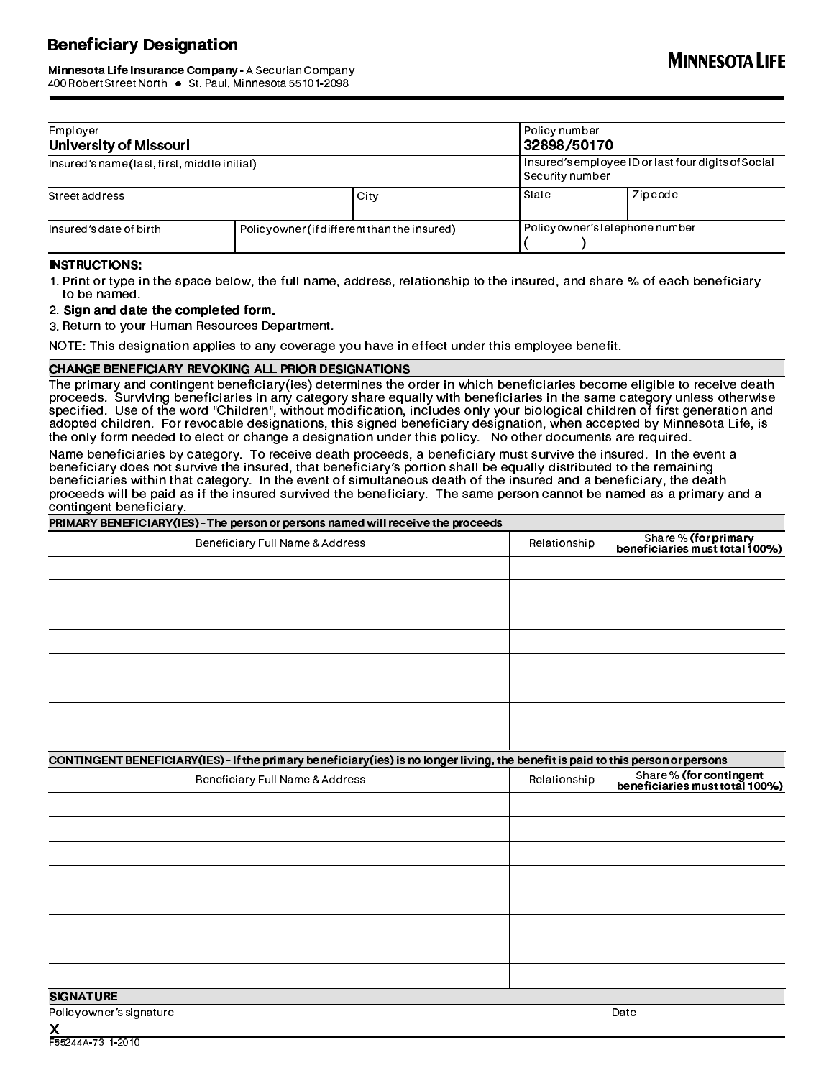# Beneficiary Designation

# Minnesota Life Insurance Company - A Securian Company<br>400 Robert Street North • St. Paul, Minnesota 55101-2098 400 Robert Street North St. Paul, Minnesota 55101-2098 A abcd

| Employer<br><b>University of Missouri</b><br>Insured's name (last, first, middle initial) |                                             |  | Policy number<br>32898/50170<br>Insured's employee ID or last four digits of Social<br>Security number |                                |  |
|-------------------------------------------------------------------------------------------|---------------------------------------------|--|--------------------------------------------------------------------------------------------------------|--------------------------------|--|
|                                                                                           |                                             |  |                                                                                                        |                                |  |
| Insured's date of birth                                                                   | Policyowner (if different than the insured) |  |                                                                                                        | Policyowner's telephone number |  |

#### INSTRUCTIONS:

1. Print or type in the space below, the full name, address, relationship to the insured, and share % of each beneficiary to be named.

#### 2. Sign and date the completed form.

3. Return to your Human Resources Department.

NOTE: This designation applies to any coverage you have in effect under this employee benefit.

#### CHANGE BENEFICIARY REVOKING ALL PRIOR DESIGNATIONS

The primary and contingent beneficiary(ies) determines the order in which beneficiaries become eligible to receive death proceeds. Surviving beneficiaries in any category share equally with beneficiaries in the same category unless otherwise specified. Use of the word "Children", without modification, includes only your biological children of first generation and adopted children. For revocable designations, this signed beneficiary designation, when accepted by Minnesota Life, is the only form needed to elect or change a designation under this policy. No other documents are required.

Name beneficiaries by category. To receive death proceeds, a beneficiary must survive the insured. In the event a beneficiary does not survive the insured, that beneficiary's portion shall be equally distributed to the remaining beneficiaries within that category. In the event of simultaneous death of the insured and a beneficiary, the death proceeds will be paid as if the insured survived the beneficiary. The same person cannot be named as a primary and a contingent beneficiary.

| PRIMARY BENEFICIARY(IES) - The person or persons named will receive the proceeds                                                   |              |                                                           |
|------------------------------------------------------------------------------------------------------------------------------------|--------------|-----------------------------------------------------------|
| Beneficiary Full Name & Address                                                                                                    | Relationship | Share % (for primary<br>beneficiaries must total 100%)    |
|                                                                                                                                    |              |                                                           |
|                                                                                                                                    |              |                                                           |
|                                                                                                                                    |              |                                                           |
|                                                                                                                                    |              |                                                           |
|                                                                                                                                    |              |                                                           |
|                                                                                                                                    |              |                                                           |
|                                                                                                                                    |              |                                                           |
|                                                                                                                                    |              |                                                           |
|                                                                                                                                    |              |                                                           |
| CONTINGENT BENEFICIARY (IES) - If the primary beneficiary (ies) is no longer living, the benefit is paid to this person or persons |              |                                                           |
| Beneficiary Full Name & Address                                                                                                    | Relationship | Share % (for contingent<br>beneficiaries must total 100%) |
|                                                                                                                                    |              |                                                           |
|                                                                                                                                    |              |                                                           |
|                                                                                                                                    |              |                                                           |
|                                                                                                                                    |              |                                                           |
|                                                                                                                                    |              |                                                           |
|                                                                                                                                    |              |                                                           |
|                                                                                                                                    |              |                                                           |
|                                                                                                                                    |              |                                                           |
|                                                                                                                                    |              |                                                           |
| <b>SIGNATURE</b>                                                                                                                   |              |                                                           |
| Policyowner's signature                                                                                                            |              | Date                                                      |
| $\mathbf{v}$                                                                                                                       |              |                                                           |